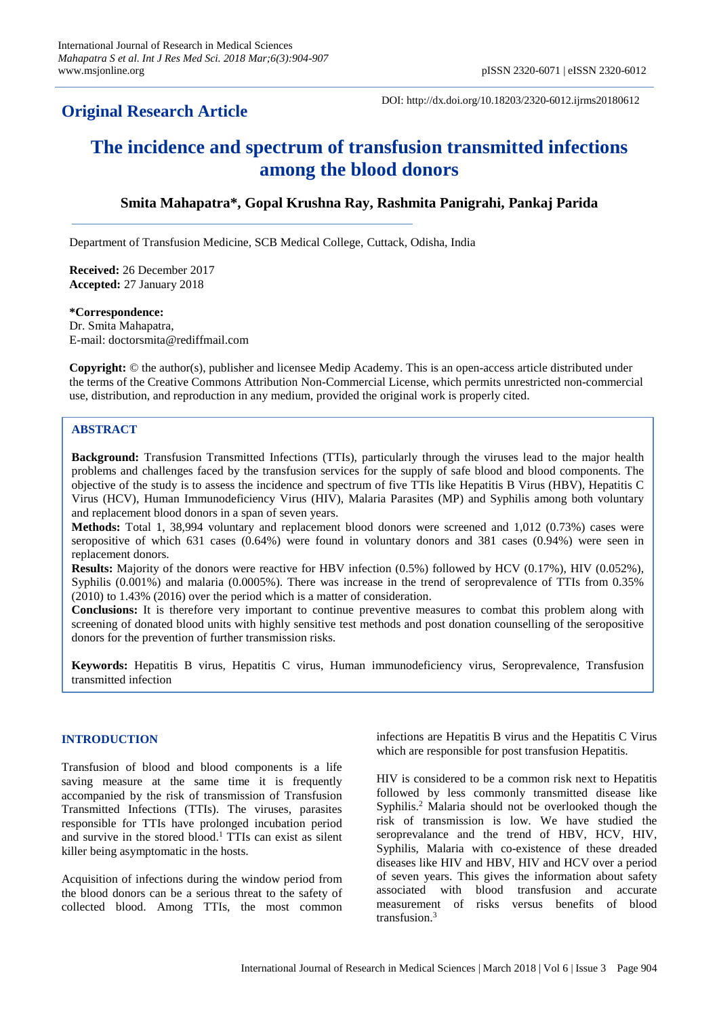## **Original Research Article**

DOI: http://dx.doi.org/10.18203/2320-6012.ijrms20180612

# **The incidence and spectrum of transfusion transmitted infections among the blood donors**

## **Smita Mahapatra\*, Gopal Krushna Ray, Rashmita Panigrahi, Pankaj Parida**

Department of Transfusion Medicine, SCB Medical College, Cuttack, Odisha, India

**Received:** 26 December 2017 **Accepted:** 27 January 2018

## **\*Correspondence:** Dr. Smita Mahapatra,

E-mail: doctorsmita@rediffmail.com

**Copyright:** © the author(s), publisher and licensee Medip Academy. This is an open-access article distributed under the terms of the Creative Commons Attribution Non-Commercial License, which permits unrestricted non-commercial use, distribution, and reproduction in any medium, provided the original work is properly cited.

## **ABSTRACT**

**Background:** Transfusion Transmitted Infections (TTIs), particularly through the viruses lead to the major health problems and challenges faced by the transfusion services for the supply of safe blood and blood components. The objective of the study is to assess the incidence and spectrum of five TTIs like Hepatitis B Virus (HBV), Hepatitis C Virus (HCV), Human Immunodeficiency Virus (HIV), Malaria Parasites (MP) and Syphilis among both voluntary and replacement blood donors in a span of seven years.

**Methods:** Total 1, 38,994 voluntary and replacement blood donors were screened and 1,012 (0.73%) cases were seropositive of which 631 cases (0.64%) were found in voluntary donors and 381 cases (0.94%) were seen in replacement donors.

**Results:** Majority of the donors were reactive for HBV infection (0.5%) followed by HCV (0.17%), HIV (0.052%), Syphilis (0.001%) and malaria (0.0005%). There was increase in the trend of seroprevalence of TTIs from 0.35% (2010) to 1.43% (2016) over the period which is a matter of consideration.

**Conclusions:** It is therefore very important to continue preventive measures to combat this problem along with screening of donated blood units with highly sensitive test methods and post donation counselling of the seropositive donors for the prevention of further transmission risks.

**Keywords:** Hepatitis B virus, Hepatitis C virus, Human immunodeficiency virus, Seroprevalence, Transfusion transmitted infection

## **INTRODUCTION**

Transfusion of blood and blood components is a life saving measure at the same time it is frequently accompanied by the risk of transmission of Transfusion Transmitted Infections (TTIs). The viruses, parasites responsible for TTIs have prolonged incubation period and survive in the stored blood.<sup>1</sup> TTIs can exist as silent killer being asymptomatic in the hosts.

Acquisition of infections during the window period from the blood donors can be a serious threat to the safety of collected blood. Among TTIs, the most common infections are Hepatitis B virus and the Hepatitis C Virus which are responsible for post transfusion Hepatitis.

HIV is considered to be a common risk next to Hepatitis followed by less commonly transmitted disease like Syphilis.<sup>2</sup> Malaria should not be overlooked though the risk of transmission is low. We have studied the seroprevalance and the trend of HBV, HCV, HIV, Syphilis, Malaria with co-existence of these dreaded diseases like HIV and HBV, HIV and HCV over a period of seven years. This gives the information about safety associated with blood transfusion and accurate measurement of risks versus benefits of blood transfusion.<sup>3</sup>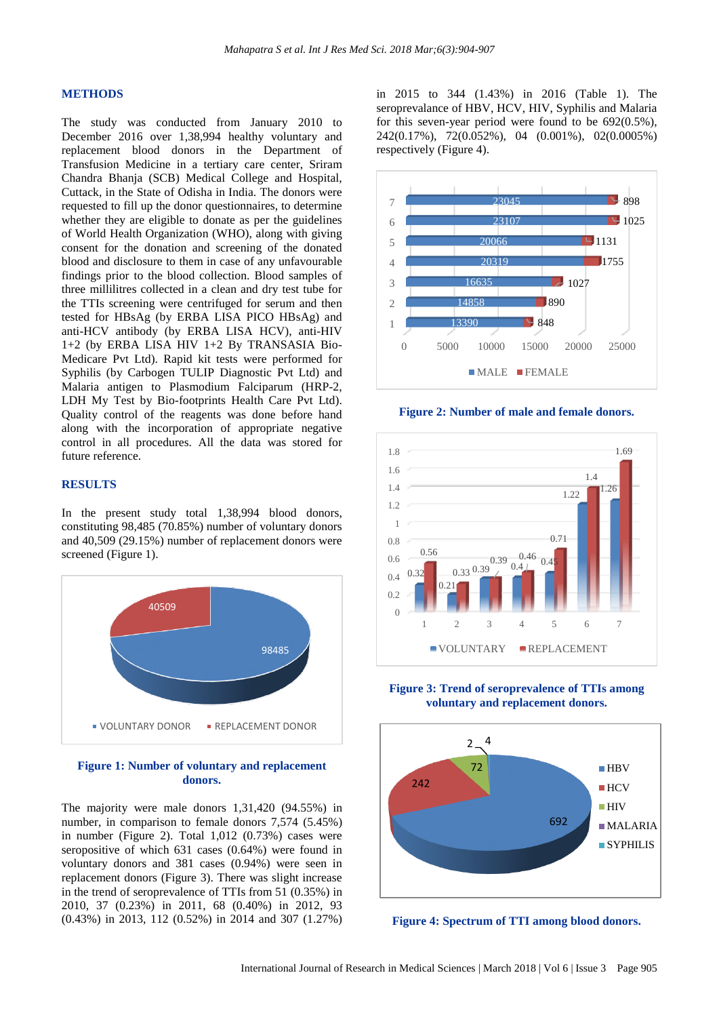#### **METHODS**

The study was conducted from January 2010 to December 2016 over 1,38,994 healthy voluntary and replacement blood donors in the Department of Transfusion Medicine in a tertiary care center, Sriram Chandra Bhanja (SCB) Medical College and Hospital, Cuttack, in the State of Odisha in India. The donors were requested to fill up the donor questionnaires, to determine whether they are eligible to donate as per the guidelines of World Health Organization (WHO), along with giving consent for the donation and screening of the donated blood and disclosure to them in case of any unfavourable findings prior to the blood collection. Blood samples of three millilitres collected in a clean and dry test tube for the TTIs screening were centrifuged for serum and then tested for HBsAg (by ERBA LISA PICO HBsAg) and anti-HCV antibody (by ERBA LISA HCV), anti-HIV 1+2 (by ERBA LISA HIV 1+2 By TRANSASIA Bio-Medicare Pvt Ltd). Rapid kit tests were performed for Syphilis (by Carbogen TULIP Diagnostic Pvt Ltd) and Malaria antigen to Plasmodium Falciparum (HRP-2, LDH My Test by Bio-footprints Health Care Pvt Ltd). Quality control of the reagents was done before hand along with the incorporation of appropriate negative control in all procedures. All the data was stored for future reference.

#### **RESULTS**

In the present study total 1,38,994 blood donors, constituting 98,485 (70.85%) number of voluntary donors and 40,509 (29.15%) number of replacement donors were screened (Figure 1).



### **Figure 1: Number of voluntary and replacement donors.**

The majority were male donors 1,31,420 (94.55%) in number, in comparison to female donors 7,574 (5.45%) in number (Figure 2). Total 1,012 (0.73%) cases were seropositive of which 631 cases (0.64%) were found in voluntary donors and 381 cases (0.94%) were seen in replacement donors (Figure 3). There was slight increase in the trend of seroprevalence of TTIs from 51 (0.35%) in 2010, 37 (0.23%) in 2011, 68 (0.40%) in 2012, 93 (0.43%) in 2013, 112 (0.52%) in 2014 and 307 (1.27%)

in 2015 to 344 (1.43%) in 2016 (Table 1). The seroprevalance of HBV, HCV, HIV, Syphilis and Malaria for this seven-year period were found to be 692(0.5%), 242(0.17%), 72(0.052%), 04 (0.001%), 02(0.0005%) respectively (Figure 4).



**Figure 2: Number of male and female donors.**



**Figure 3: Trend of seroprevalence of TTIs among voluntary and replacement donors.**



**Figure 4: Spectrum of TTI among blood donors.**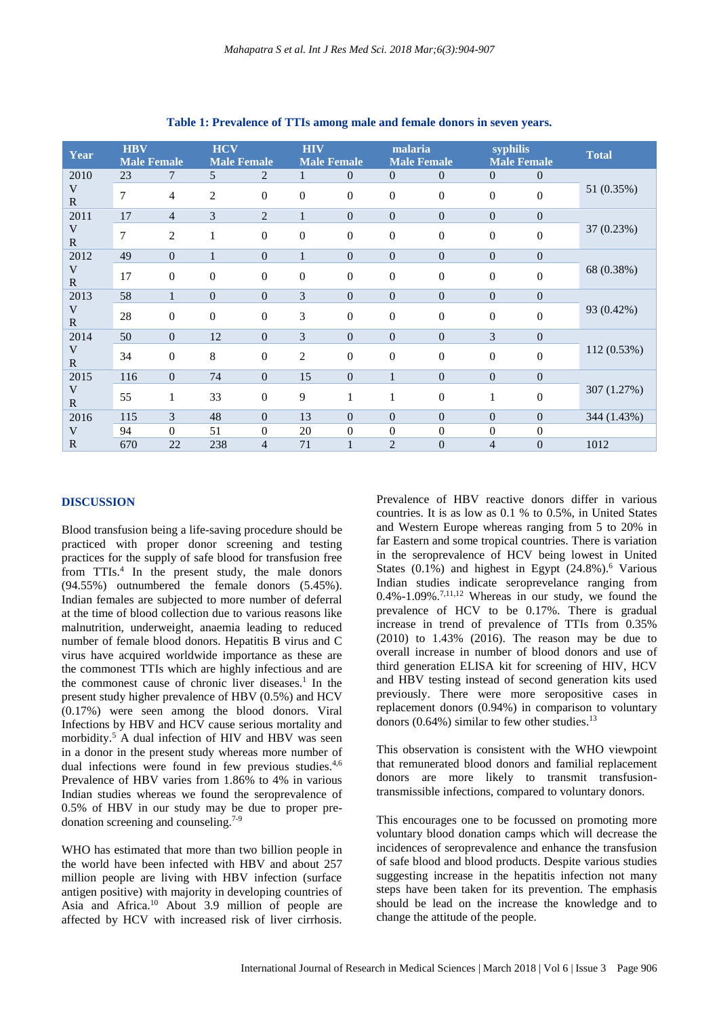| Year                               | <b>HBV</b><br><b>Male Female</b> |                  | <b>HCV</b><br><b>Male Female</b> |                  | <b>HIV</b><br><b>Male Female</b> |                  | malaria<br><b>Male Female</b> |                  | syphilis<br><b>Male Female</b> |                  | Total       |
|------------------------------------|----------------------------------|------------------|----------------------------------|------------------|----------------------------------|------------------|-------------------------------|------------------|--------------------------------|------------------|-------------|
| 2010<br>V<br>$\mathbf R$           | 23                               | 7                | 5                                | $\overline{2}$   | $\mathbf{1}$                     | $\overline{0}$   | $\overline{0}$                | $\overline{0}$   | $\boldsymbol{0}$               | $\overline{0}$   | 51 (0.35%)  |
|                                    | 7                                | $\overline{4}$   | 2                                | $\mathbf{0}$     | $\boldsymbol{0}$                 | $\boldsymbol{0}$ | $\overline{0}$                | $\mathbf{0}$     | $\boldsymbol{0}$               | $\boldsymbol{0}$ |             |
| 2011<br>V<br>$\mathbf R$           | 17                               | $\overline{4}$   | 3                                | 2                | $\mathbf{1}$                     | $\overline{0}$   | $\overline{0}$                | $\overline{0}$   | $\overline{0}$                 | $\overline{0}$   | 37 (0.23%)  |
|                                    | 7                                | $\overline{2}$   | 1                                | $\Omega$         | $\overline{0}$                   | $\overline{0}$   | $\overline{0}$                | $\Omega$         | $\overline{0}$                 | $\boldsymbol{0}$ |             |
| 2012<br>V<br>$\mathbf R$           | 49                               | $\overline{0}$   | $\mathbf{1}$                     | $\mathbf{0}$     | $\mathbf{1}$                     | $\boldsymbol{0}$ | $\overline{0}$                | $\mathbf{0}$     | $\boldsymbol{0}$               | $\boldsymbol{0}$ | 68 (0.38%)  |
|                                    | 17                               | $\mathbf{0}$     | $\mathbf{0}$                     | $\mathbf{0}$     | $\mathbf{0}$                     | $\boldsymbol{0}$ | $\overline{0}$                | $\mathbf{0}$     | $\overline{0}$                 | $\boldsymbol{0}$ |             |
| 2013<br>$\mathbf V$<br>$\mathbf R$ | 58                               | 1                | $\boldsymbol{0}$                 | $\mathbf{0}$     | 3                                | $\boldsymbol{0}$ | $\overline{0}$                | $\mathbf{0}$     | $\boldsymbol{0}$               | $\boldsymbol{0}$ | 93 (0.42%)  |
|                                    | 28                               | $\boldsymbol{0}$ | $\boldsymbol{0}$                 | $\mathbf{0}$     | 3                                | $\overline{0}$   | $\overline{0}$                | $\mathbf{0}$     | $\overline{0}$                 | $\mathbf{0}$     |             |
| 2014<br>V<br>$\mathbf R$           | 50                               | $\Omega$         | 12                               | $\Omega$         | 3                                | $\overline{0}$   | $\Omega$                      | $\mathbf{0}$     | 3                              | $\overline{0}$   | 112 (0.53%) |
|                                    | 34                               | $\mathbf{0}$     | 8                                | $\boldsymbol{0}$ | $\overline{c}$                   | $\boldsymbol{0}$ | $\overline{0}$                | $\boldsymbol{0}$ | 0                              | $\boldsymbol{0}$ |             |
| 2015<br>$\mathbf V$<br>$\mathbf R$ | 116                              | $\Omega$         | 74                               | $\Omega$         | 15                               | $\overline{0}$   | $\mathbf{1}$                  | $\Omega$         | $\overline{0}$                 | $\overline{0}$   | 307 (1.27%) |
|                                    | 55                               | 1                | 33                               | $\mathbf{0}$     | 9                                | 1                | 1                             | $\mathbf{0}$     | 1                              | $\boldsymbol{0}$ |             |
| 2016                               | 115                              | 3                | 48                               | $\mathbf{0}$     | 13                               | $\overline{0}$   | $\overline{0}$                | $\overline{0}$   | $\overline{0}$                 | $\overline{0}$   | 344 (1.43%) |
| V                                  | 94                               | $\overline{0}$   | 51                               | $\theta$         | 20                               | 0                | $\overline{0}$                | $\mathbf{0}$     | 0                              | $\boldsymbol{0}$ |             |
| $\mathbf R$                        | 670                              | 22               | 238                              | $\overline{4}$   | 71                               | 1                | $\overline{2}$                | $\mathbf{0}$     | $\overline{4}$                 | $\overline{0}$   | 1012        |

**Table 1: Prevalence of TTIs among male and female donors in seven years.**

#### **DISCUSSION**

Blood transfusion being a life-saving procedure should be practiced with proper donor screening and testing practices for the supply of safe blood for transfusion free from TTIs.<sup>4</sup> In the present study, the male donors (94.55%) outnumbered the female donors (5.45%). Indian females are subjected to more number of deferral at the time of blood collection due to various reasons like malnutrition, underweight, anaemia leading to reduced number of female blood donors. Hepatitis B virus and C virus have acquired worldwide importance as these are the commonest TTIs which are highly infectious and are the commonest cause of chronic liver diseases.<sup>1</sup> In the present study higher prevalence of HBV (0.5%) and HCV (0.17%) were seen among the blood donors. Viral Infections by HBV and HCV cause serious mortality and morbidity.<sup>5</sup> A dual infection of HIV and HBV was seen in a donor in the present study whereas more number of dual infections were found in few previous studies.<sup>4,6</sup> Prevalence of HBV varies from 1.86% to 4% in various Indian studies whereas we found the seroprevalence of 0.5% of HBV in our study may be due to proper predonation screening and counseling.7-9

WHO has estimated that more than two billion people in the world have been infected with HBV and about 257 million people are living with HBV infection (surface antigen positive) with majority in developing countries of Asia and Africa.<sup>10</sup> About 3.9 million of people are affected by HCV with increased risk of liver cirrhosis. Prevalence of HBV reactive donors differ in various countries. It is as low as 0.1 % to 0.5%, in United States and Western Europe whereas ranging from 5 to 20% in far Eastern and some tropical countries. There is variation in the seroprevalence of HCV being lowest in United States (0.1%) and highest in Egypt (24.8%). <sup>6</sup> Various Indian studies indicate seroprevelance ranging from  $0.4\% - 1.09\%$ .<sup>7,11,12</sup> Whereas in our study, we found the prevalence of HCV to be 0.17%. There is gradual increase in trend of prevalence of TTIs from 0.35% (2010) to 1.43% (2016). The reason may be due to overall increase in number of blood donors and use of third generation ELISA kit for screening of HIV, HCV and HBV testing instead of second generation kits used previously. There were more seropositive cases in replacement donors (0.94%) in comparison to voluntary donors  $(0.64\%)$  similar to few other studies.<sup>13</sup>

This observation is consistent with the WHO viewpoint that remunerated blood donors and familial replacement donors are more likely to transmit transfusiontransmissible infections, compared to voluntary donors.

This encourages one to be focussed on promoting more voluntary blood donation camps which will decrease the incidences of seroprevalence and enhance the transfusion of safe blood and blood products. Despite various studies suggesting increase in the hepatitis infection not many steps have been taken for its prevention. The emphasis should be lead on the increase the knowledge and to change the attitude of the people.